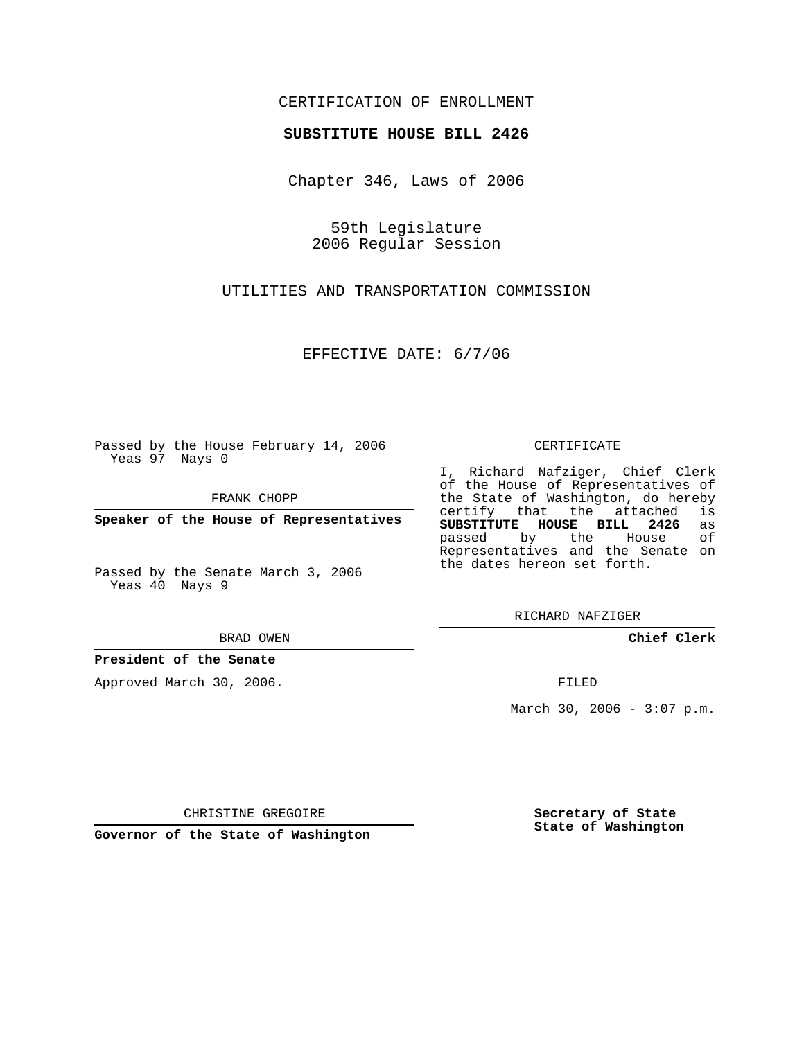# CERTIFICATION OF ENROLLMENT

#### **SUBSTITUTE HOUSE BILL 2426**

Chapter 346, Laws of 2006

59th Legislature 2006 Regular Session

UTILITIES AND TRANSPORTATION COMMISSION

EFFECTIVE DATE: 6/7/06

Passed by the House February 14, 2006 Yeas 97 Nays 0

FRANK CHOPP

**Speaker of the House of Representatives**

Passed by the Senate March 3, 2006 Yeas 40 Nays 9

BRAD OWEN

# **President of the Senate**

Approved March 30, 2006.

CERTIFICATE

I, Richard Nafziger, Chief Clerk of the House of Representatives of the State of Washington, do hereby<br>certify that the attached is certify that the attached **SUBSTITUTE HOUSE BILL 2426** as passed by the Representatives and the Senate on the dates hereon set forth.

RICHARD NAFZIGER

**Chief Clerk**

FILED

March 30, 2006 -  $3:07$  p.m.

CHRISTINE GREGOIRE

**Governor of the State of Washington**

**Secretary of State State of Washington**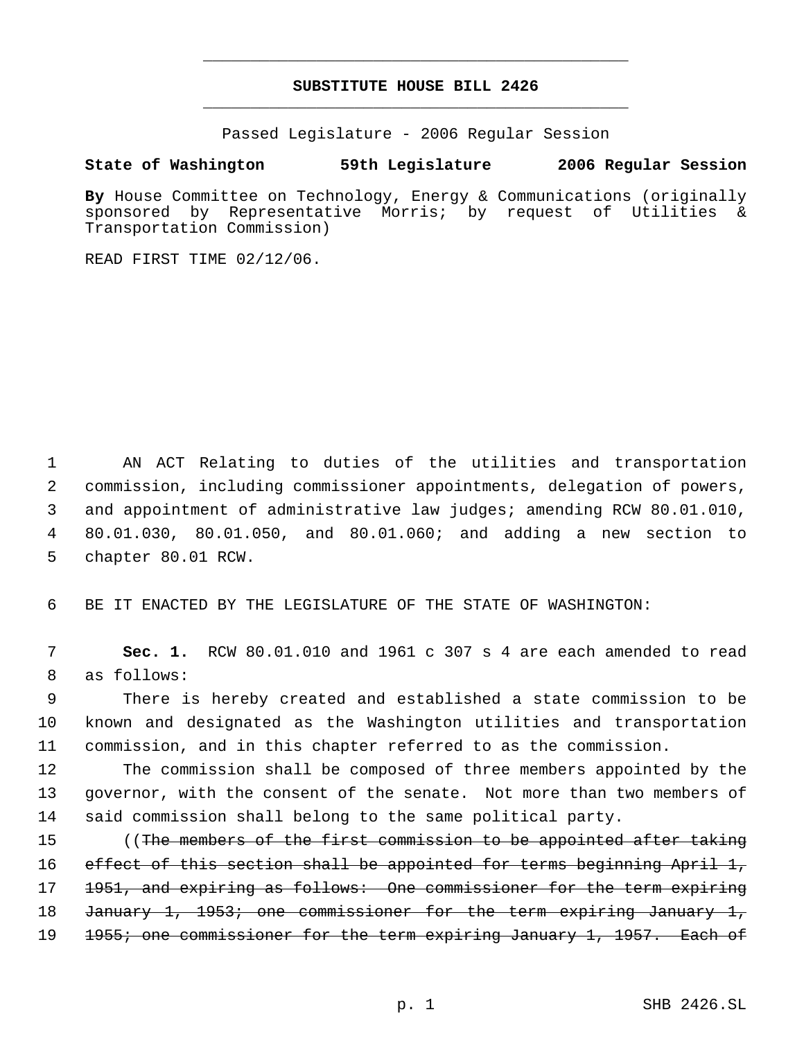# **SUBSTITUTE HOUSE BILL 2426** \_\_\_\_\_\_\_\_\_\_\_\_\_\_\_\_\_\_\_\_\_\_\_\_\_\_\_\_\_\_\_\_\_\_\_\_\_\_\_\_\_\_\_\_\_

\_\_\_\_\_\_\_\_\_\_\_\_\_\_\_\_\_\_\_\_\_\_\_\_\_\_\_\_\_\_\_\_\_\_\_\_\_\_\_\_\_\_\_\_\_

Passed Legislature - 2006 Regular Session

# **State of Washington 59th Legislature 2006 Regular Session**

**By** House Committee on Technology, Energy & Communications (originally sponsored by Representative Morris; by request of Utilities & Transportation Commission)

READ FIRST TIME 02/12/06.

 AN ACT Relating to duties of the utilities and transportation commission, including commissioner appointments, delegation of powers, and appointment of administrative law judges; amending RCW 80.01.010, 80.01.030, 80.01.050, and 80.01.060; and adding a new section to chapter 80.01 RCW.

6 BE IT ENACTED BY THE LEGISLATURE OF THE STATE OF WASHINGTON:

 7 **Sec. 1.** RCW 80.01.010 and 1961 c 307 s 4 are each amended to read 8 as follows:

 9 There is hereby created and established a state commission to be 10 known and designated as the Washington utilities and transportation 11 commission, and in this chapter referred to as the commission.

12 The commission shall be composed of three members appointed by the 13 governor, with the consent of the senate. Not more than two members of 14 said commission shall belong to the same political party.

15 ((<del>The members of the first commission to be appointed after taking</del> 16 effect of this section shall be appointed for terms beginning April 1, 17 1951, and expiring as follows: One commissioner for the term expiring 18 January 1, 1953; one commissioner for the term expiring January 1, 19 1955; one commissioner for the term expiring January 1, 1957. Each of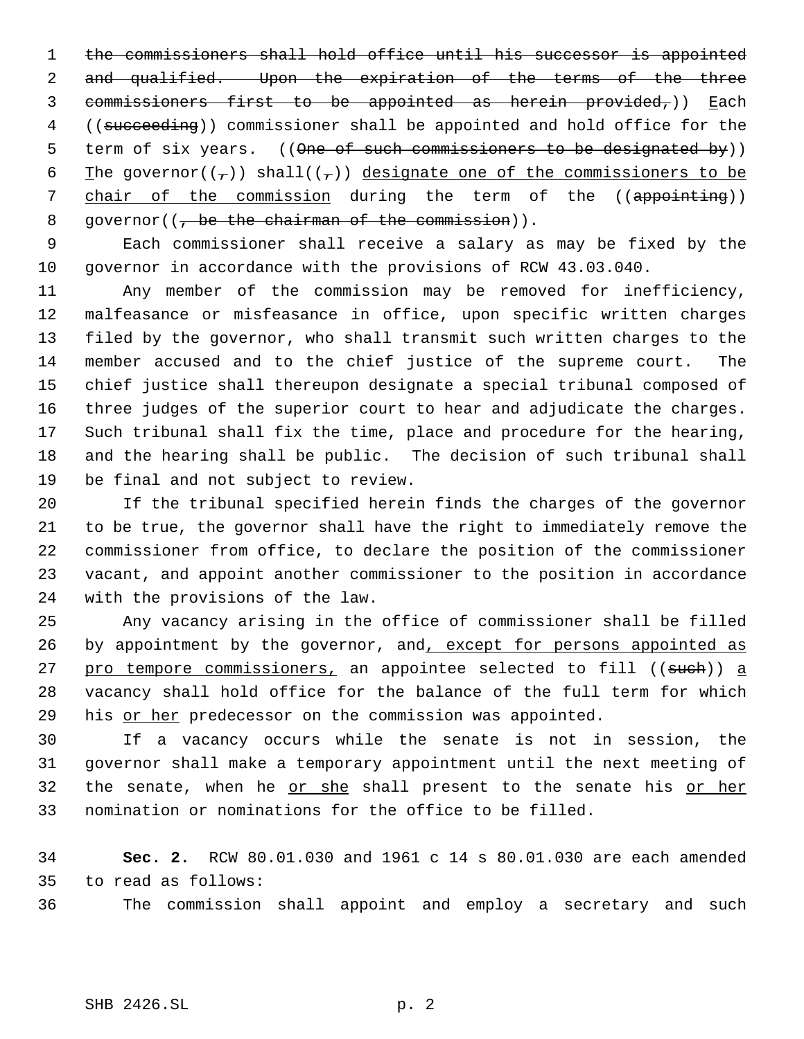1 the commissioners shall hold office until his successor is appointed 2 and qualified. Upon the expiration of the terms of the three commissioners first to be appointed as herein provided,)) Each ((succeeding)) commissioner shall be appointed and hold office for the 5 term of six years. ((One of such commissioners to be designated by)) 6 The governor( $(\tau)$ ) shall( $(\tau)$ ) designate one of the commissioners to be 7 chair of the commission during the term of the ((appointing)) 8 qovernor $((, be the chairman of the commission)).$ 

 Each commissioner shall receive a salary as may be fixed by the governor in accordance with the provisions of RCW 43.03.040.

 Any member of the commission may be removed for inefficiency, malfeasance or misfeasance in office, upon specific written charges filed by the governor, who shall transmit such written charges to the member accused and to the chief justice of the supreme court. The chief justice shall thereupon designate a special tribunal composed of three judges of the superior court to hear and adjudicate the charges. Such tribunal shall fix the time, place and procedure for the hearing, and the hearing shall be public. The decision of such tribunal shall be final and not subject to review.

 If the tribunal specified herein finds the charges of the governor to be true, the governor shall have the right to immediately remove the commissioner from office, to declare the position of the commissioner vacant, and appoint another commissioner to the position in accordance with the provisions of the law.

 Any vacancy arising in the office of commissioner shall be filled 26 by appointment by the governor, and, except for persons appointed as 27 pro tempore commissioners, an appointee selected to fill ((such)) a vacancy shall hold office for the balance of the full term for which 29 his or her predecessor on the commission was appointed.

 If a vacancy occurs while the senate is not in session, the governor shall make a temporary appointment until the next meeting of the senate, when he or she shall present to the senate his or her nomination or nominations for the office to be filled.

 **Sec. 2.** RCW 80.01.030 and 1961 c 14 s 80.01.030 are each amended to read as follows:

The commission shall appoint and employ a secretary and such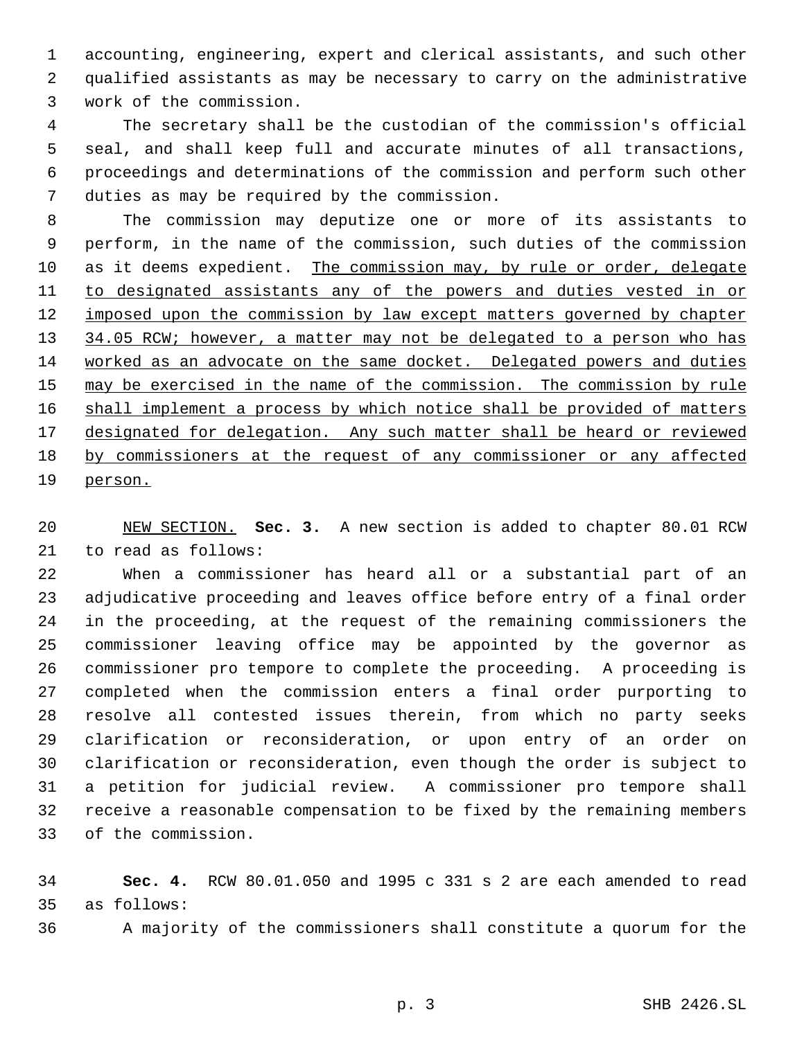accounting, engineering, expert and clerical assistants, and such other qualified assistants as may be necessary to carry on the administrative work of the commission.

 The secretary shall be the custodian of the commission's official seal, and shall keep full and accurate minutes of all transactions, proceedings and determinations of the commission and perform such other duties as may be required by the commission.

 The commission may deputize one or more of its assistants to perform, in the name of the commission, such duties of the commission as it deems expedient. The commission may, by rule or order, delegate to designated assistants any of the powers and duties vested in or 12 imposed upon the commission by law except matters governed by chapter 13 34.05 RCW; however, a matter may not be delegated to a person who has worked as an advocate on the same docket. Delegated powers and duties 15 may be exercised in the name of the commission. The commission by rule 16 shall implement a process by which notice shall be provided of matters 17 designated for delegation. Any such matter shall be heard or reviewed by commissioners at the request of any commissioner or any affected person.

 NEW SECTION. **Sec. 3.** A new section is added to chapter 80.01 RCW to read as follows:

 When a commissioner has heard all or a substantial part of an adjudicative proceeding and leaves office before entry of a final order in the proceeding, at the request of the remaining commissioners the commissioner leaving office may be appointed by the governor as commissioner pro tempore to complete the proceeding. A proceeding is completed when the commission enters a final order purporting to resolve all contested issues therein, from which no party seeks clarification or reconsideration, or upon entry of an order on clarification or reconsideration, even though the order is subject to a petition for judicial review. A commissioner pro tempore shall receive a reasonable compensation to be fixed by the remaining members of the commission.

 **Sec. 4.** RCW 80.01.050 and 1995 c 331 s 2 are each amended to read as follows:

A majority of the commissioners shall constitute a quorum for the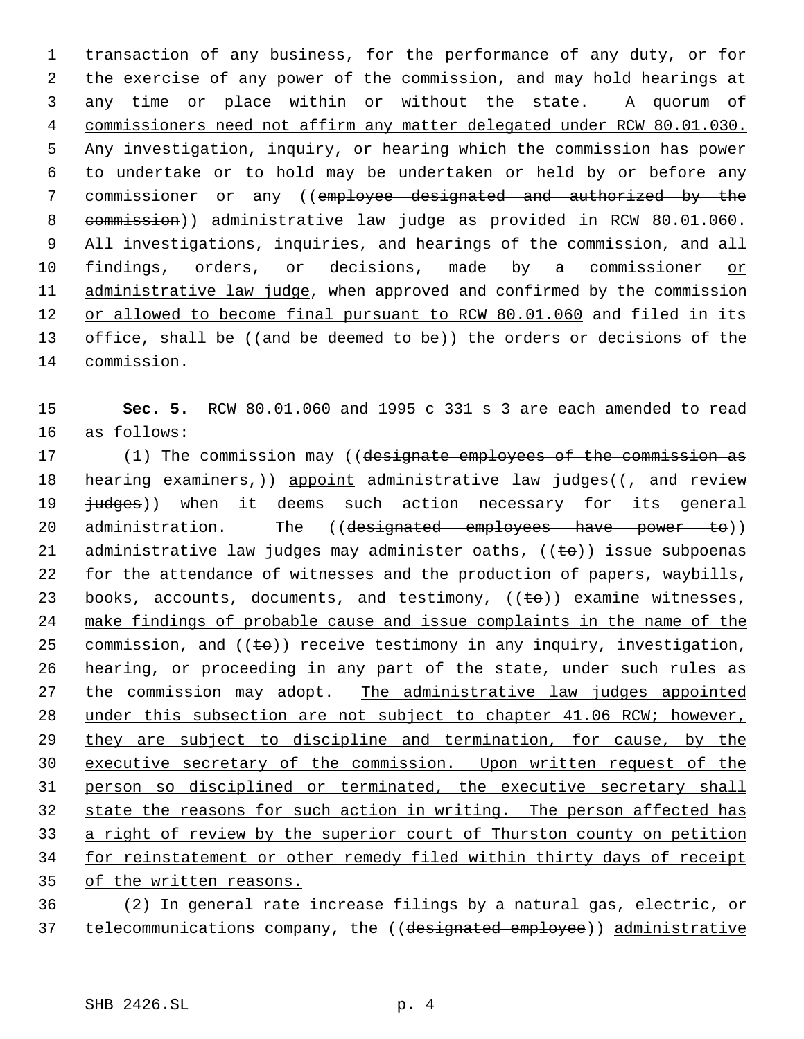transaction of any business, for the performance of any duty, or for the exercise of any power of the commission, and may hold hearings at 3 any time or place within or without the state. A quorum of commissioners need not affirm any matter delegated under RCW 80.01.030. Any investigation, inquiry, or hearing which the commission has power to undertake or to hold may be undertaken or held by or before any commissioner or any ((employee designated and authorized by the commission)) administrative law judge as provided in RCW 80.01.060. All investigations, inquiries, and hearings of the commission, and all findings, orders, or decisions, made by a commissioner or 11 administrative law judge, when approved and confirmed by the commission 12 or allowed to become final pursuant to RCW 80.01.060 and filed in its 13 office, shall be ((and be deemed to be)) the orders or decisions of the commission.

15 **Sec. 5.** RCW 80.01.060 and 1995 c 331 s 3 are each amended to read 16 as follows:

17 (1) The commission may ((designate employees of the commission as 18 hearing examiners,)) appoint administrative law judges((, and review 19 <del>judges</del>)) when it deems such action necessary for its general 20 administration. The ((designated employees have power to)) 21 administrative law judges may administer oaths,  $((\pm e))$  issue subpoenas 22 for the attendance of witnesses and the production of papers, waybills, 23 books, accounts, documents, and testimony,  $((\pm \theta))$  examine witnesses, 24 make findings of probable cause and issue complaints in the name of the 25 commission, and  $((\pm \theta))$  receive testimony in any inquiry, investigation, 26 hearing, or proceeding in any part of the state, under such rules as 27 the commission may adopt. The administrative law judges appointed 28 under this subsection are not subject to chapter 41.06 RCW; however, 29 they are subject to discipline and termination, for cause, by the 30 executive secretary of the commission. Upon written request of the 31 person so disciplined or terminated, the executive secretary shall 32 state the reasons for such action in writing. The person affected has 33 a right of review by the superior court of Thurston county on petition 34 for reinstatement or other remedy filed within thirty days of receipt 35 of the written reasons.

36 (2) In general rate increase filings by a natural gas, electric, or 37 telecommunications company, the ((designated employee)) administrative